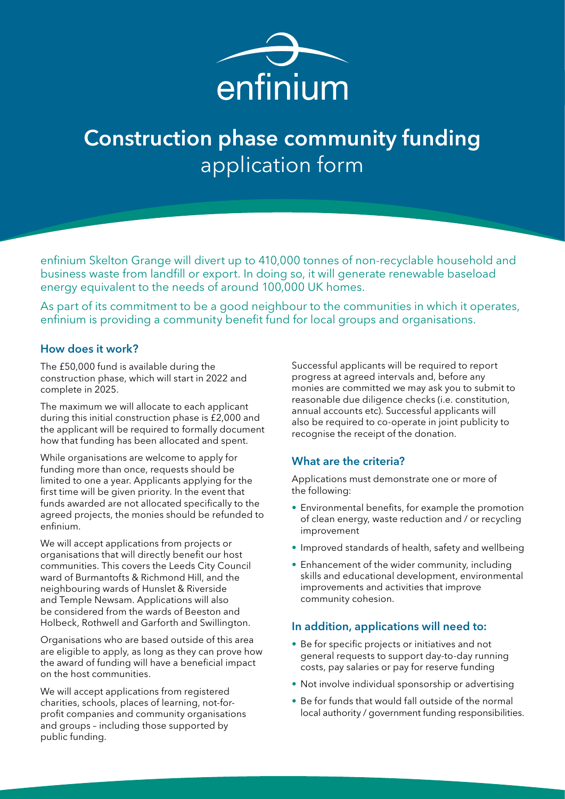

enfinium Skelton Grange will divert up to 410,000 tonnes of non-recyclable household and business waste from landfill or export. In doing so, it will generate renewable baseload energy equivalent to the needs of around 100,000 UK homes.

As part of its commitment to be a good neighbour to the communities in which it operates, enfinium is providing a community benefit fund for local groups and organisations.

#### How does it work?

The £50,000 fund is available during the construction phase, which will start in 2022 and complete in 2025.

The maximum we will allocate to each applicant during this initial construction phase is £2,000 and the applicant will be required to formally document how that funding has been allocated and spent.

While organisations are welcome to apply for funding more than once, requests should be limited to one a year. Applicants applying for the first time will be given priority. In the event that funds awarded are not allocated specifically to the agreed projects, the monies should be refunded to enfinium.

We will accept applications from projects or organisations that will directly benefit our host communities. This covers the Leeds City Council ward of Burmantofts & Richmond Hill, and the neighbouring wards of Hunslet & Riverside and Temple Newsam. Applications will also be considered from the wards of Beeston and Holbeck, Rothwell and Garforth and Swillington.

Organisations who are based outside of this area are eligible to apply, as long as they can prove how the award of funding will have a beneficial impact on the host communities.

We will accept applications from registered charities, schools, places of learning, not-forprofit companies and community organisations and groups – including those supported by public funding.

Successful applicants will be required to report progress at agreed intervals and, before any monies are committed we may ask you to submit to reasonable due diligence checks (i.e. constitution, annual accounts etc). Successful applicants will also be required to co-operate in joint publicity to recognise the receipt of the donation.

#### What are the criteria?

Applications must demonstrate one or more of the following:

- Environmental benefits, for example the promotion of clean energy, waste reduction and / or recycling improvement
- Improved standards of health, safety and wellbeing
- Enhancement of the wider community, including skills and educational development, environmental improvements and activities that improve community cohesion.

#### In addition, applications will need to:

- Be for specific projects or initiatives and not general requests to support day-to-day running costs, pay salaries or pay for reserve funding
- Not involve individual sponsorship or advertising
- Be for funds that would fall outside of the normal local authority / government funding responsibilities.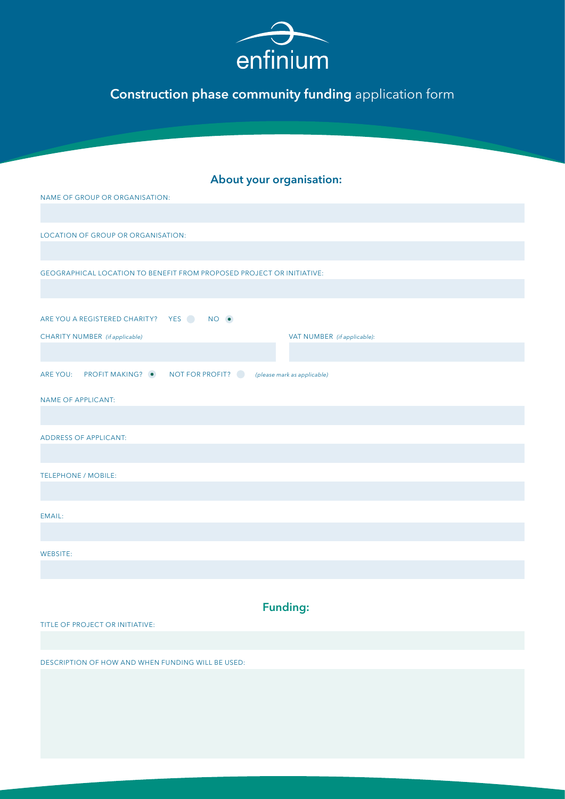

|  | <b>About your organisation:</b> |
|--|---------------------------------|
|  |                                 |

| NAME OF GROUP OR ORGANISATION:                                               |  |  |  |
|------------------------------------------------------------------------------|--|--|--|
|                                                                              |  |  |  |
| LOCATION OF GROUP OR ORGANISATION:                                           |  |  |  |
|                                                                              |  |  |  |
| <b>GEOGRAPHICAL LOCATION TO BENEFIT FROM PROPOSED PROJECT OR INITIATIVE:</b> |  |  |  |
|                                                                              |  |  |  |
| ARE YOU A REGISTERED CHARITY? YES NO .                                       |  |  |  |
| CHARITY NUMBER (if applicable)<br>VAT NUMBER (if applicable):                |  |  |  |
|                                                                              |  |  |  |
| ARE YOU: PROFIT MAKING? • NOT FOR PROFIT? (please mark as applicable)        |  |  |  |
| <b>NAME OF APPLICANT:</b>                                                    |  |  |  |
|                                                                              |  |  |  |
| <b>ADDRESS OF APPLICANT:</b>                                                 |  |  |  |
|                                                                              |  |  |  |
| <b>TELEPHONE / MOBILE:</b>                                                   |  |  |  |
|                                                                              |  |  |  |
| EMAIL:                                                                       |  |  |  |
|                                                                              |  |  |  |
| WEBSITE:                                                                     |  |  |  |
|                                                                              |  |  |  |
|                                                                              |  |  |  |
| Eundinar                                                                     |  |  |  |

Funding:

TITLE OF PROJECT OR INITIATIVE:

DESCRIPTION OF HOW AND WHEN FUNDING WILL BE USED: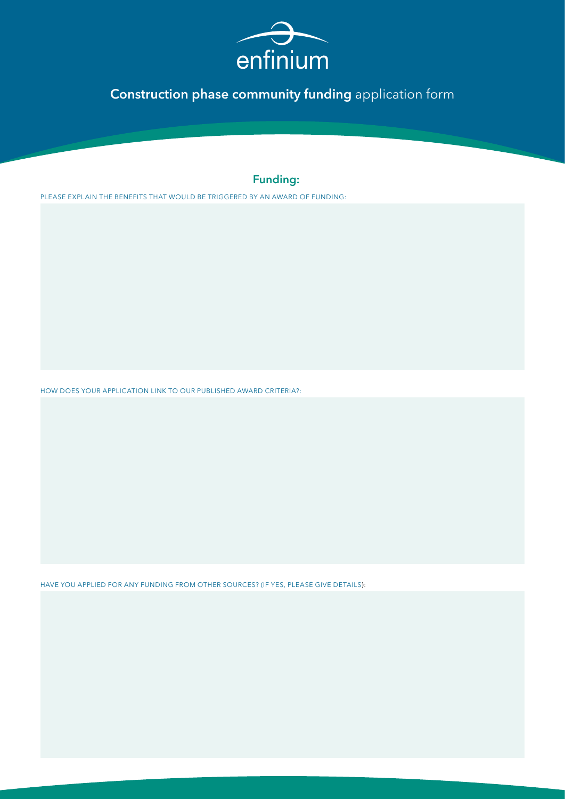

### Funding:

PLEASE EXPLAIN THE BENEFITS THAT WOULD BE TRIGGERED BY AN AWARD OF FUNDING:

HOW DOES YOUR APPLICATION LINK TO OUR PUBLISHED AWARD CRITERIA?:

HAVE YOU APPLIED FOR ANY FUNDING FROM OTHER SOURCES? (IF YES, PLEASE GIVE DETAILS):